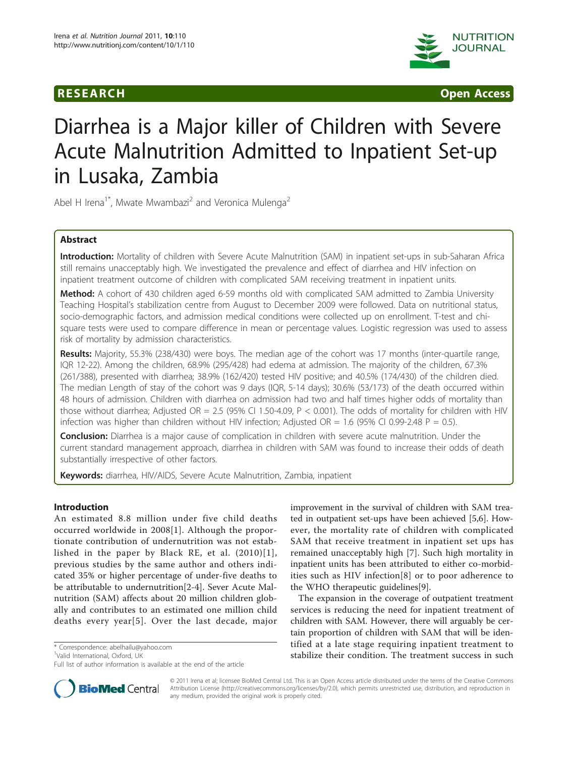

**RESEARCH CONSTRUCTED ACCESS** 

# Diarrhea is a Major killer of Children with Severe Acute Malnutrition Admitted to Inpatient Set-up in Lusaka, Zambia

Abel H Irena<sup>1\*</sup>, Mwate Mwambazi<sup>2</sup> and Veronica Mulenga<sup>2</sup>

# Abstract

Introduction: Mortality of children with Severe Acute Malnutrition (SAM) in inpatient set-ups in sub-Saharan Africa still remains unacceptably high. We investigated the prevalence and effect of diarrhea and HIV infection on inpatient treatment outcome of children with complicated SAM receiving treatment in inpatient units.

Method: A cohort of 430 children aged 6-59 months old with complicated SAM admitted to Zambia University Teaching Hospital's stabilization centre from August to December 2009 were followed. Data on nutritional status, socio-demographic factors, and admission medical conditions were collected up on enrollment. T-test and chisquare tests were used to compare difference in mean or percentage values. Logistic regression was used to assess risk of mortality by admission characteristics.

Results: Majority, 55.3% (238/430) were boys. The median age of the cohort was 17 months (inter-quartile range, IQR 12-22). Among the children, 68.9% (295/428) had edema at admission. The majority of the children, 67.3% (261/388), presented with diarrhea; 38.9% (162/420) tested HIV positive; and 40.5% (174/430) of the children died. The median Length of stay of the cohort was 9 days (IQR, 5-14 days); 30.6% (53/173) of the death occurred within 48 hours of admission. Children with diarrhea on admission had two and half times higher odds of mortality than those without diarrhea; Adjusted OR = 2.5 (95% CI 1.50-4.09,  $P < 0.001$ ). The odds of mortality for children with HIV infection was higher than children without HIV infection; Adjusted OR = 1.6 (95% CI 0.99-2.48 P = 0.5).

**Conclusion:** Diarrhea is a major cause of complication in children with severe acute malnutrition. Under the current standard management approach, diarrhea in children with SAM was found to increase their odds of death substantially irrespective of other factors.

Keywords: diarrhea, HIV/AIDS, Severe Acute Malnutrition, Zambia, inpatient

### Introduction

An estimated 8.8 million under five child deaths occurred worldwide in 2008[[1](#page-5-0)]. Although the proportionate contribution of undernutrition was not established in the paper by Black RE, et al. (2010)[[1\]](#page-5-0), previous studies by the same author and others indicated 35% or higher percentage of under-five deaths to be attributable to undernutrition[[2-4](#page-5-0)]. Sever Acute Malnutrition (SAM) affects about 20 million children globally and contributes to an estimated one million child deaths every year[[5](#page-5-0)]. Over the last decade, major

\* Correspondence: [abelhailu@yahoo.com](mailto:abelhailu@yahoo.com)

<sup>1</sup>Valid International, Oxford, UK

improvement in the survival of children with SAM treated in outpatient set-ups have been achieved [\[5,6\]](#page-5-0). However, the mortality rate of children with complicated SAM that receive treatment in inpatient set ups has remained unacceptably high [[7\]](#page-5-0). Such high mortality in inpatient units has been attributed to either co-morbidities such as HIV infection[\[8](#page-5-0)] or to poor adherence to the WHO therapeutic guidelines[[9\]](#page-5-0).

The expansion in the coverage of outpatient treatment services is reducing the need for inpatient treatment of children with SAM. However, there will arguably be certain proportion of children with SAM that will be identified at a late stage requiring inpatient treatment to stabilize their condition. The treatment success in such



© 2011 Irena et al; licensee BioMed Central Ltd. This is an Open Access article distributed under the terms of the Creative Commons Attribution License [\(http://creativecommons.org/licenses/by/2.0](http://creativecommons.org/licenses/by/2.0)), which permits unrestricted use, distribution, and reproduction in any medium, provided the original work is properly cited.

Full list of author information is available at the end of the article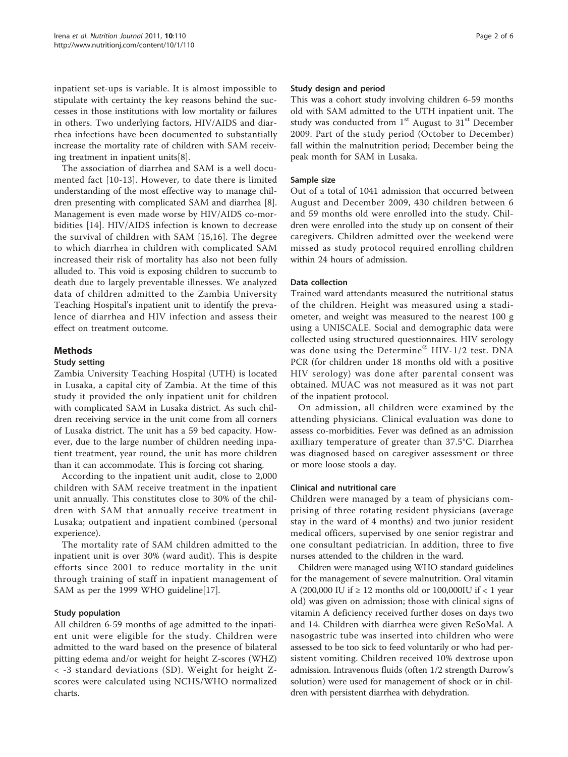inpatient set-ups is variable. It is almost impossible to stipulate with certainty the key reasons behind the successes in those institutions with low mortality or failures in others. Two underlying factors, HIV/AIDS and diarrhea infections have been documented to substantially increase the mortality rate of children with SAM receiving treatment in inpatient units[\[8](#page-5-0)].

The association of diarrhea and SAM is a well documented fact [[10-13\]](#page-5-0). However, to date there is limited understanding of the most effective way to manage children presenting with complicated SAM and diarrhea [\[8](#page-5-0)]. Management is even made worse by HIV/AIDS co-morbidities [[14\]](#page-5-0). HIV/AIDS infection is known to decrease the survival of children with SAM [[15,16](#page-5-0)]. The degree to which diarrhea in children with complicated SAM increased their risk of mortality has also not been fully alluded to. This void is exposing children to succumb to death due to largely preventable illnesses. We analyzed data of children admitted to the Zambia University Teaching Hospital's inpatient unit to identify the prevalence of diarrhea and HIV infection and assess their effect on treatment outcome.

# Methods

#### Study setting

Zambia University Teaching Hospital (UTH) is located in Lusaka, a capital city of Zambia. At the time of this study it provided the only inpatient unit for children with complicated SAM in Lusaka district. As such children receiving service in the unit come from all corners of Lusaka district. The unit has a 59 bed capacity. However, due to the large number of children needing inpatient treatment, year round, the unit has more children than it can accommodate. This is forcing cot sharing.

According to the inpatient unit audit, close to 2,000 children with SAM receive treatment in the inpatient unit annually. This constitutes close to 30% of the children with SAM that annually receive treatment in Lusaka; outpatient and inpatient combined (personal experience).

The mortality rate of SAM children admitted to the inpatient unit is over 30% (ward audit). This is despite efforts since 2001 to reduce mortality in the unit through training of staff in inpatient management of SAM as per the 1999 WHO guideline[[17\]](#page-5-0).

### Study population

All children 6-59 months of age admitted to the inpatient unit were eligible for the study. Children were admitted to the ward based on the presence of bilateral pitting edema and/or weight for height Z-scores (WHZ) < -3 standard deviations (SD). Weight for height Zscores were calculated using NCHS/WHO normalized charts.

## Study design and period

This was a cohort study involving children 6-59 months old with SAM admitted to the UTH inpatient unit. The study was conducted from  $1<sup>st</sup>$  August to  $31<sup>st</sup>$  December 2009. Part of the study period (October to December) fall within the malnutrition period; December being the peak month for SAM in Lusaka.

## Sample size

Out of a total of 1041 admission that occurred between August and December 2009, 430 children between 6 and 59 months old were enrolled into the study. Children were enrolled into the study up on consent of their caregivers. Children admitted over the weekend were missed as study protocol required enrolling children within 24 hours of admission.

# Data collection

Trained ward attendants measured the nutritional status of the children. Height was measured using a stadiometer, and weight was measured to the nearest 100 g using a UNISCALE. Social and demographic data were collected using structured questionnaires. HIV serology was done using the Determine® HIV-1/2 test. DNA PCR (for children under 18 months old with a positive HIV serology) was done after parental consent was obtained. MUAC was not measured as it was not part of the inpatient protocol.

On admission, all children were examined by the attending physicians. Clinical evaluation was done to assess co-morbidities. Fever was defined as an admission axilliary temperature of greater than 37.5°C. Diarrhea was diagnosed based on caregiver assessment or three or more loose stools a day.

### Clinical and nutritional care

Children were managed by a team of physicians comprising of three rotating resident physicians (average stay in the ward of 4 months) and two junior resident medical officers, supervised by one senior registrar and one consultant pediatrician. In addition, three to five nurses attended to the children in the ward.

Children were managed using WHO standard guidelines for the management of severe malnutrition. Oral vitamin A (200,000 IU if ≥ 12 months old or 100,000IU if < 1 year old) was given on admission; those with clinical signs of vitamin A deficiency received further doses on days two and 14. Children with diarrhea were given ReSoMal. A nasogastric tube was inserted into children who were assessed to be too sick to feed voluntarily or who had persistent vomiting. Children received 10% dextrose upon admission. Intravenous fluids (often 1/2 strength Darrow's solution) were used for management of shock or in children with persistent diarrhea with dehydration.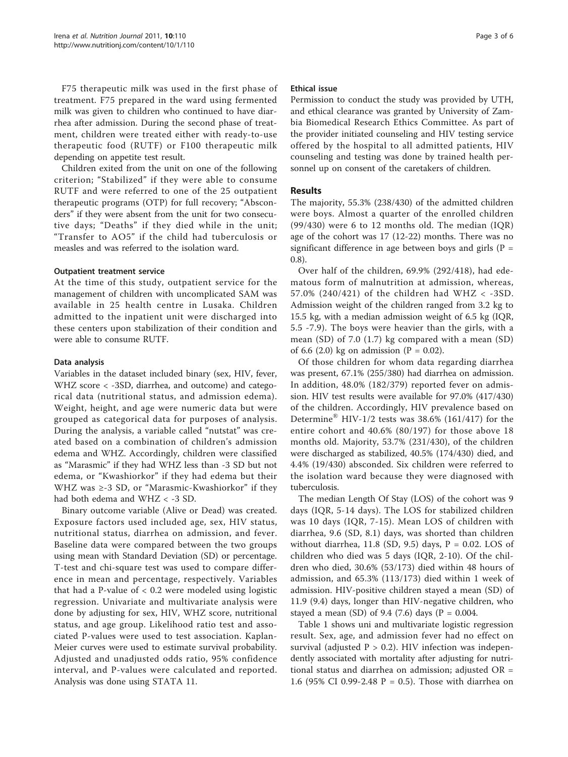F75 therapeutic milk was used in the first phase of treatment. F75 prepared in the ward using fermented milk was given to children who continued to have diarrhea after admission. During the second phase of treatment, children were treated either with ready-to-use therapeutic food (RUTF) or F100 therapeutic milk depending on appetite test result.

Children exited from the unit on one of the following criterion; "Stabilized" if they were able to consume RUTF and were referred to one of the 25 outpatient therapeutic programs (OTP) for full recovery; "Absconders" if they were absent from the unit for two consecutive days; "Deaths" if they died while in the unit; "Transfer to AO5" if the child had tuberculosis or measles and was referred to the isolation ward.

#### Outpatient treatment service

At the time of this study, outpatient service for the management of children with uncomplicated SAM was available in 25 health centre in Lusaka. Children admitted to the inpatient unit were discharged into these centers upon stabilization of their condition and were able to consume RUTF.

### Data analysis

Variables in the dataset included binary (sex, HIV, fever, WHZ score < -3SD, diarrhea, and outcome) and categorical data (nutritional status, and admission edema). Weight, height, and age were numeric data but were grouped as categorical data for purposes of analysis. During the analysis, a variable called "nutstat" was created based on a combination of children's admission edema and WHZ. Accordingly, children were classified as "Marasmic" if they had WHZ less than -3 SD but not edema, or "Kwashiorkor" if they had edema but their WHZ was ≥-3 SD, or "Marasmic-Kwashiorkor" if they had both edema and WHZ < -3 SD.

Binary outcome variable (Alive or Dead) was created. Exposure factors used included age, sex, HIV status, nutritional status, diarrhea on admission, and fever. Baseline data were compared between the two groups using mean with Standard Deviation (SD) or percentage. T-test and chi-square test was used to compare difference in mean and percentage, respectively. Variables that had a P-value of  $< 0.2$  were modeled using logistic regression. Univariate and multivariate analysis were done by adjusting for sex, HIV, WHZ score, nutritional status, and age group. Likelihood ratio test and associated P-values were used to test association. Kaplan-Meier curves were used to estimate survival probability. Adjusted and unadjusted odds ratio, 95% confidence interval, and P-values were calculated and reported. Analysis was done using STATA 11.

#### Ethical issue

Permission to conduct the study was provided by UTH, and ethical clearance was granted by University of Zambia Biomedical Research Ethics Committee. As part of the provider initiated counseling and HIV testing service offered by the hospital to all admitted patients, HIV counseling and testing was done by trained health personnel up on consent of the caretakers of children.

#### Results

The majority, 55.3% (238/430) of the admitted children were boys. Almost a quarter of the enrolled children (99/430) were 6 to 12 months old. The median (IQR) age of the cohort was 17 (12-22) months. There was no significant difference in age between boys and girls ( $P =$ 0.8).

Over half of the children, 69.9% (292/418), had edematous form of malnutrition at admission, whereas, 57.0% (240/421) of the children had WHZ < -3SD. Admission weight of the children ranged from 3.2 kg to 15.5 kg, with a median admission weight of 6.5 kg (IQR, 5.5 -7.9). The boys were heavier than the girls, with a mean (SD) of 7.0 (1.7) kg compared with a mean (SD) of 6.6 (2.0) kg on admission ( $P = 0.02$ ).

Of those children for whom data regarding diarrhea was present, 67.1% (255/380) had diarrhea on admission. In addition, 48.0% (182/379) reported fever on admission. HIV test results were available for 97.0% (417/430) of the children. Accordingly, HIV prevalence based on Determine<sup>®</sup> HIV-1/2 tests was 38.6% (161/417) for the entire cohort and 40.6% (80/197) for those above 18 months old. Majority, 53.7% (231/430), of the children were discharged as stabilized, 40.5% (174/430) died, and 4.4% (19/430) absconded. Six children were referred to the isolation ward because they were diagnosed with tuberculosis.

The median Length Of Stay (LOS) of the cohort was 9 days (IQR, 5-14 days). The LOS for stabilized children was 10 days (IQR, 7-15). Mean LOS of children with diarrhea, 9.6 (SD, 8.1) days, was shorted than children without diarrhea, 11.8 (SD, 9.5) days,  $P = 0.02$ . LOS of children who died was 5 days (IQR, 2-10). Of the children who died, 30.6% (53/173) died within 48 hours of admission, and 65.3% (113/173) died within 1 week of admission. HIV-positive children stayed a mean (SD) of 11.9 (9.4) days, longer than HIV-negative children, who stayed a mean (SD) of 9.4 (7.6) days (P =  $0.004$ .

Table [1](#page-3-0) shows uni and multivariate logistic regression result. Sex, age, and admission fever had no effect on survival (adjusted  $P > 0.2$ ). HIV infection was independently associated with mortality after adjusting for nutritional status and diarrhea on admission; adjusted OR = 1.6 (95% CI 0.99-2.48 P = 0.5). Those with diarrhea on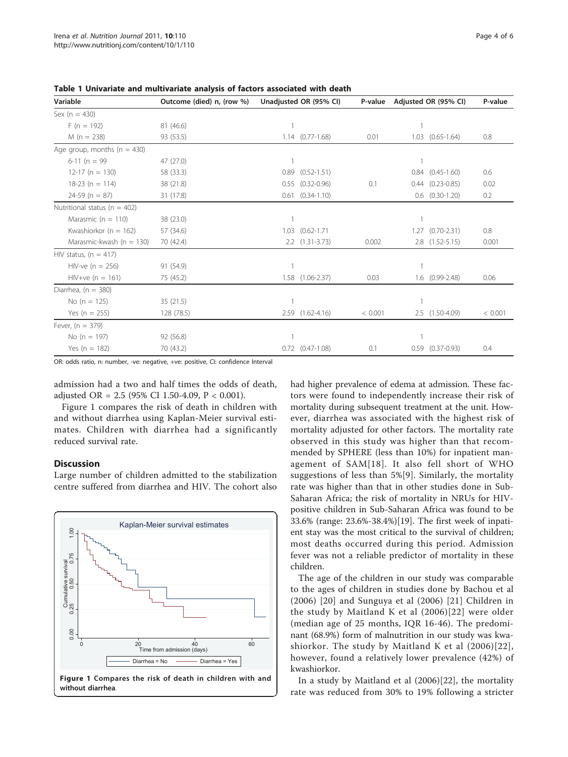| Variable                         | Outcome (died) n, (row %) | Unadjusted OR (95% CI) |                        | P-value | Adjusted OR (95% CI) |                        | P-value |
|----------------------------------|---------------------------|------------------------|------------------------|---------|----------------------|------------------------|---------|
| Sex ( $n = 430$ )                |                           |                        |                        |         |                      |                        |         |
| $F(n = 192)$                     | 81 (46.6)                 |                        |                        |         |                      |                        |         |
| $M(n = 238)$                     | 93 (53.5)                 |                        | $1.14$ $(0.77-1.68)$   | 0.01    |                      | $1.03$ $(0.65 - 1.64)$ | 0.8     |
| Age group, months ( $n = 430$ )  |                           |                        |                        |         |                      |                        |         |
| $6-11(n = 99)$                   | 47 (27.0)                 |                        |                        |         |                      |                        |         |
| $12-17$ (n = 130)                | 58 (33.3)                 | 0.89                   | $(0.52 - 1.51)$        |         |                      | $0.84$ $(0.45-1.60)$   | 0.6     |
| $18-23$ (n = 114)                | 38 (21.8)                 | 0.55                   | $(0.32 - 0.96)$        | 0.1     |                      | $0.44$ $(0.23 - 0.85)$ | 0.02    |
| $24-59$ (n = 87)                 | 31 (17.8)                 | 0.61                   | $(0.34 - 1.10)$        |         |                      | $0.6$ $(0.30-1.20)$    | 0.2     |
| Nutritional status ( $n = 402$ ) |                           |                        |                        |         |                      |                        |         |
| Marasmic ( $n = 110$ )           | 38 (23.0)                 |                        |                        |         |                      |                        |         |
| Kwashiorkor ( $n = 162$ )        | 57 (34.6)                 | 1.03                   | $(0.62 - 1.71)$        |         |                      | $1.27$ $(0.70 - 2.31)$ | 0.8     |
| Marasmic-kwash ( $n = 130$ )     | 70 (42.4)                 |                        | $2.2$ $(1.31 - 3.73)$  | 0.002   |                      | 2.8 (1.52-5.15)        | 0.001   |
| HIV status, $(n = 417)$          |                           |                        |                        |         |                      |                        |         |
| $HIV-ve (n = 256)$               | 91 (54.9)                 |                        |                        |         |                      |                        |         |
| $HIV+ve (n = 161)$               | 75 (45.2)                 |                        | $1.58$ $(1.06 - 2.37)$ | 0.03    |                      | $1.6$ $(0.99-2.48)$    | 0.06    |
| Diarrhea, $(n = 380)$            |                           |                        |                        |         |                      |                        |         |
| No (n = $125$ )                  | 35(21.5)                  |                        |                        |         |                      |                        |         |
| Yes (n = 255)                    | 128 (78.5)                |                        | 2.59 (1.62-4.16)       | < 0.001 |                      | 2.5 (1.50-4.09)        | < 0.001 |
| Fever, $(n = 379)$               |                           |                        |                        |         |                      |                        |         |
| No (n = 197)                     | 92 (56.8)                 |                        |                        |         |                      |                        |         |
| Yes ( $n = 182$ )                | 70 (43.2)                 |                        | $0.72$ $(0.47-1.08)$   | 0.1     |                      | $0.59$ $(0.37-0.93)$   | 0.4     |

<span id="page-3-0"></span>Table 1 Univariate and multivariate analysis of factors associated with death

OR: odds ratio, n: number, -ve: negative, +ve: positive, CI: confidence Interval

admission had a two and half times the odds of death, adjusted OR =  $2.5$  (95% CI 1.50-4.09, P < 0.001).

Figure 1 compares the risk of death in children with and without diarrhea using Kaplan-Meier survival estimates. Children with diarrhea had a significantly reduced survival rate.

#### **Discussion**

Large number of children admitted to the stabilization centre suffered from diarrhea and HIV. The cohort also



had higher prevalence of edema at admission. These factors were found to independently increase their risk of mortality during subsequent treatment at the unit. However, diarrhea was associated with the highest risk of mortality adjusted for other factors. The mortality rate observed in this study was higher than that recommended by SPHERE (less than 10%) for inpatient management of SAM[[18\]](#page-5-0). It also fell short of WHO suggestions of less than 5%[\[9\]](#page-5-0). Similarly, the mortality rate was higher than that in other studies done in Sub-Saharan Africa; the risk of mortality in NRUs for HIVpositive children in Sub-Saharan Africa was found to be 33.6% (range: 23.6%-38.4%)[[19\]](#page-5-0). The first week of inpatient stay was the most critical to the survival of children; most deaths occurred during this period. Admission fever was not a reliable predictor of mortality in these children.

The age of the children in our study was comparable to the ages of children in studies done by Bachou et al (2006) [[20](#page-5-0)] and Sunguya et al (2006) [[21](#page-5-0)] Children in the study by Maitland K et al (2006)[[22](#page-5-0)] were older (median age of 25 months, IQR 16-46). The predominant (68.9%) form of malnutrition in our study was kwashiorkor. The study by Maitland K et al (2006)[[22\]](#page-5-0), however, found a relatively lower prevalence (42%) of kwashiorkor.

In a study by Maitland et al (2006)[[22\]](#page-5-0), the mortality rate was reduced from 30% to 19% following a stricter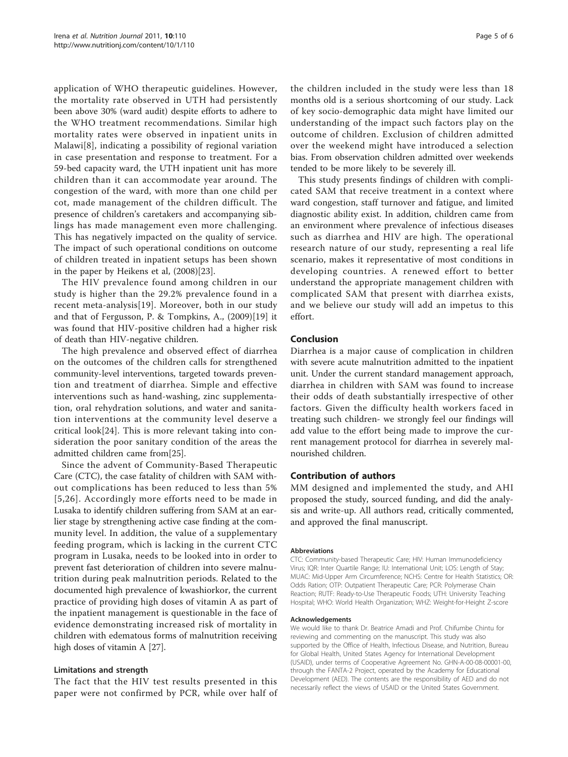application of WHO therapeutic guidelines. However, the mortality rate observed in UTH had persistently been above 30% (ward audit) despite efforts to adhere to the WHO treatment recommendations. Similar high mortality rates were observed in inpatient units in Malawi[[8\]](#page-5-0), indicating a possibility of regional variation in case presentation and response to treatment. For a 59-bed capacity ward, the UTH inpatient unit has more children than it can accommodate year around. The congestion of the ward, with more than one child per cot, made management of the children difficult. The presence of children's caretakers and accompanying siblings has made management even more challenging. This has negatively impacted on the quality of service. The impact of such operational conditions on outcome of children treated in inpatient setups has been shown in the paper by Heikens et al, (2008)[[23\]](#page-5-0).

The HIV prevalence found among children in our study is higher than the 29.2% prevalence found in a recent meta-analysis[[19](#page-5-0)]. Moreover, both in our study and that of Fergusson, P. & Tompkins, A., (2009)[\[19](#page-5-0)] it was found that HIV-positive children had a higher risk of death than HIV-negative children.

The high prevalence and observed effect of diarrhea on the outcomes of the children calls for strengthened community-level interventions, targeted towards prevention and treatment of diarrhea. Simple and effective interventions such as hand-washing, zinc supplementation, oral rehydration solutions, and water and sanitation interventions at the community level deserve a critical look[[24\]](#page-5-0). This is more relevant taking into consideration the poor sanitary condition of the areas the admitted children came from[\[25\]](#page-5-0).

Since the advent of Community-Based Therapeutic Care (CTC), the case fatality of children with SAM without complications has been reduced to less than 5% [[5,26\]](#page-5-0). Accordingly more efforts need to be made in Lusaka to identify children suffering from SAM at an earlier stage by strengthening active case finding at the community level. In addition, the value of a supplementary feeding program, which is lacking in the current CTC program in Lusaka, needs to be looked into in order to prevent fast deterioration of children into severe malnutrition during peak malnutrition periods. Related to the documented high prevalence of kwashiorkor, the current practice of providing high doses of vitamin A as part of the inpatient management is questionable in the face of evidence demonstrating increased risk of mortality in children with edematous forms of malnutrition receiving high doses of vitamin A [[27\]](#page-5-0).

### Limitations and strength

The fact that the HIV test results presented in this paper were not confirmed by PCR, while over half of

the children included in the study were less than 18 months old is a serious shortcoming of our study. Lack of key socio-demographic data might have limited our understanding of the impact such factors play on the outcome of children. Exclusion of children admitted over the weekend might have introduced a selection bias. From observation children admitted over weekends tended to be more likely to be severely ill.

This study presents findings of children with complicated SAM that receive treatment in a context where ward congestion, staff turnover and fatigue, and limited diagnostic ability exist. In addition, children came from an environment where prevalence of infectious diseases such as diarrhea and HIV are high. The operational research nature of our study, representing a real life scenario, makes it representative of most conditions in developing countries. A renewed effort to better understand the appropriate management children with complicated SAM that present with diarrhea exists, and we believe our study will add an impetus to this effort.

# Conclusion

Diarrhea is a major cause of complication in children with severe acute malnutrition admitted to the inpatient unit. Under the current standard management approach, diarrhea in children with SAM was found to increase their odds of death substantially irrespective of other factors. Given the difficulty health workers faced in treating such children- we strongly feel our findings will add value to the effort being made to improve the current management protocol for diarrhea in severely malnourished children.

### Contribution of authors

MM designed and implemented the study, and AHI proposed the study, sourced funding, and did the analysis and write-up. All authors read, critically commented, and approved the final manuscript.

#### **Abbreviations**

CTC: Community-based Therapeutic Care; HIV: Human Immunodeficiency Virus; IQR: Inter Quartile Range; IU: International Unit; LOS: Length of Stay; MUAC: Mid-Upper Arm Circumference; NCHS: Centre for Health Statistics; OR: Odds Ration; OTP: Outpatient Therapeutic Care; PCR: Polymerase Chain Reaction; RUTF: Ready-to-Use Therapeutic Foods; UTH: University Teaching Hospital; WHO: World Health Organization; WHZ: Weight-for-Height Z-score

#### Acknowledgements

We would like to thank Dr. Beatrice Amadi and Prof. Chifumbe Chintu for reviewing and commenting on the manuscript. This study was also supported by the Office of Health, Infectious Disease, and Nutrition, Bureau for Global Health, United States Agency for International Development (USAID), under terms of Cooperative Agreement No. GHN-A-00-08-00001-00, through the FANTA-2 Project, operated by the Academy for Educational Development (AED). The contents are the responsibility of AED and do not necessarily reflect the views of USAID or the United States Government.